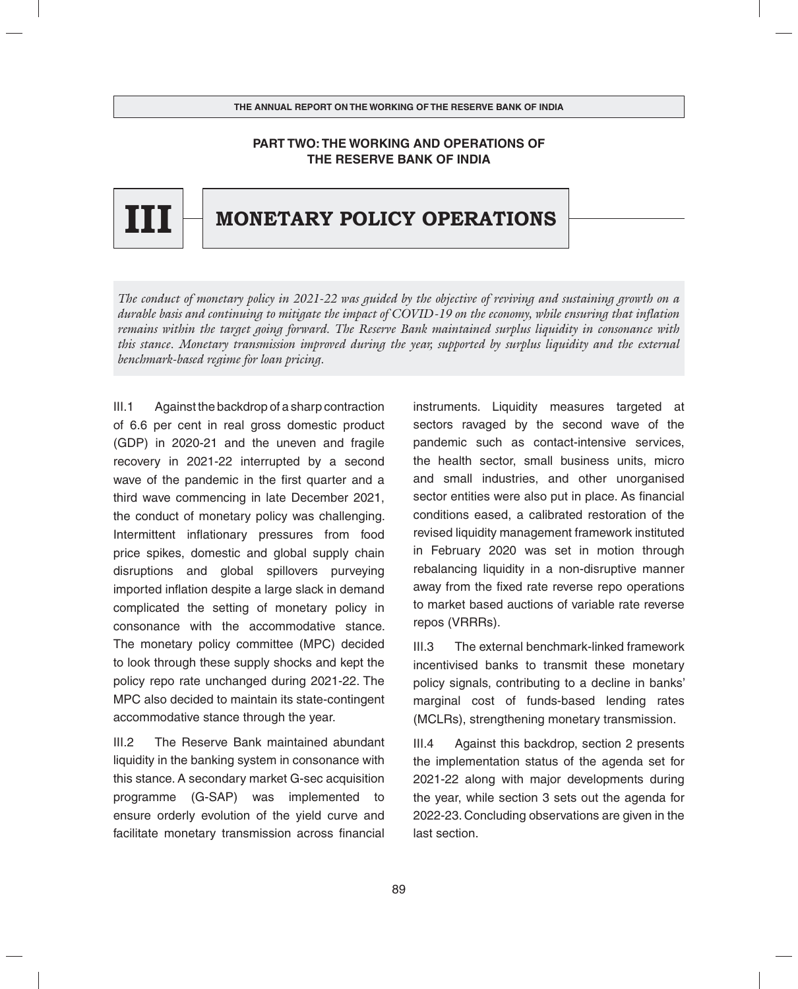# **PART TWO: THE WORKING AND OPERATIONS OF THE RESERVE BANK OF INDIA**



# **IIII**  $\Box$  **MONETARY POLICY OPERATIONS**

*The conduct of monetary policy in 2021-22 was guided by the objective of reviving and sustaining growth on a durable basis and continuing to mitigate the impact of COVID-19 on the economy, while ensuring that inflation remains within the target going forward. The Reserve Bank maintained surplus liquidity in consonance with this stance. Monetary transmission improved during the year, supported by surplus liquidity and the external benchmark-based regime for loan pricing.*

III.1 Against the backdrop of a sharp contraction of 6.6 per cent in real gross domestic product (GDP) in 2020-21 and the uneven and fragile recovery in 2021-22 interrupted by a second wave of the pandemic in the first quarter and a third wave commencing in late December 2021, the conduct of monetary policy was challenging. Intermittent inflationary pressures from food price spikes, domestic and global supply chain disruptions and global spillovers purveying imported inflation despite a large slack in demand complicated the setting of monetary policy in consonance with the accommodative stance. The monetary policy committee (MPC) decided to look through these supply shocks and kept the policy repo rate unchanged during 2021-22. The MPC also decided to maintain its state-contingent accommodative stance through the year.

III.2 The Reserve Bank maintained abundant liquidity in the banking system in consonance with this stance. A secondary market G-sec acquisition programme (G-SAP) was implemented to ensure orderly evolution of the yield curve and facilitate monetary transmission across financial instruments. Liquidity measures targeted at sectors ravaged by the second wave of the pandemic such as contact-intensive services, the health sector, small business units, micro and small industries, and other unorganised sector entities were also put in place. As financial conditions eased, a calibrated restoration of the revised liquidity management framework instituted in February 2020 was set in motion through rebalancing liquidity in a non-disruptive manner away from the fixed rate reverse repo operations to market based auctions of variable rate reverse repos (VRRRs).

III.3 The external benchmark-linked framework incentivised banks to transmit these monetary policy signals, contributing to a decline in banks' marginal cost of funds-based lending rates (MCLRs), strengthening monetary transmission.

III.4 Against this backdrop, section 2 presents the implementation status of the agenda set for 2021-22 along with major developments during the year, while section 3 sets out the agenda for 2022-23. Concluding observations are given in the last section.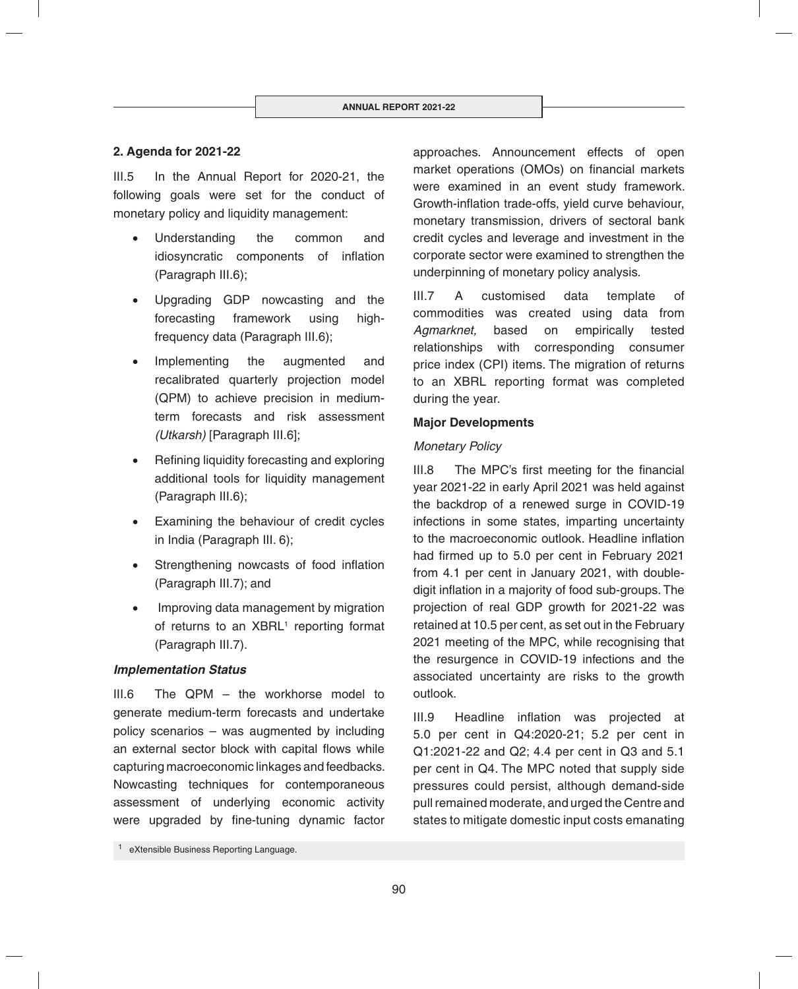## **2. Agenda for 2021-22**

III.5 In the Annual Report for 2020-21, the following goals were set for the conduct of monetary policy and liquidity management:

- Understanding the common and idiosyncratic components of inflation (Paragraph III.6);
- Upgrading GDP nowcasting and the forecasting framework using highfrequency data (Paragraph III.6);
- Implementing the augmented and recalibrated quarterly projection model (QPM) to achieve precision in mediumterm forecasts and risk assessment *(Utkarsh)* [Paragraph III.6];
- Refining liquidity forecasting and exploring additional tools for liquidity management (Paragraph III.6);
- Examining the behaviour of credit cycles in India (Paragraph III. 6);
- Strengthening nowcasts of food inflation (Paragraph III.7); and
- Improving data management by migration of returns to an XBRL<sup>1</sup> reporting format (Paragraph III.7).

## *Implementation Status*

III.6 The QPM – the workhorse model to generate medium-term forecasts and undertake policy scenarios – was augmented by including an external sector block with capital flows while capturing macroeconomic linkages and feedbacks. Nowcasting techniques for contemporaneous assessment of underlying economic activity were upgraded by fine-tuning dynamic factor approaches. Announcement effects of open market operations (OMOs) on financial markets were examined in an event study framework. Growth-inflation trade-offs, yield curve behaviour, monetary transmission, drivers of sectoral bank credit cycles and leverage and investment in the corporate sector were examined to strengthen the underpinning of monetary policy analysis.

III.7 A customised data template of commodities was created using data from *Agmarknet,* based on empirically tested relationships with corresponding consumer price index (CPI) items. The migration of returns to an XBRL reporting format was completed during the year.

#### **Major Developments**

#### *Monetary Policy*

 $III.8$  The MPC's first meeting for the financial year 2021-22 in early April 2021 was held against the backdrop of a renewed surge in COVID-19 infections in some states, imparting uncertainty to the macroeconomic outlook. Headline inflation had firmed up to 5.0 per cent in February 2021 from 4.1 per cent in January 2021, with doubledigit inflation in a majority of food sub-groups. The projection of real GDP growth for 2021-22 was retained at 10.5 per cent, as set out in the February 2021 meeting of the MPC, while recognising that the resurgence in COVID-19 infections and the associated uncertainty are risks to the growth outlook.

III.9 Headline inflation was projected at 5.0 per cent in Q4:2020-21; 5.2 per cent in Q1:2021-22 and Q2; 4.4 per cent in Q3 and 5.1 per cent in Q4. The MPC noted that supply side pressures could persist, although demand-side pull remained moderate, and urged the Centre and states to mitigate domestic input costs emanating

<sup>1</sup> eXtensible Business Reporting Language.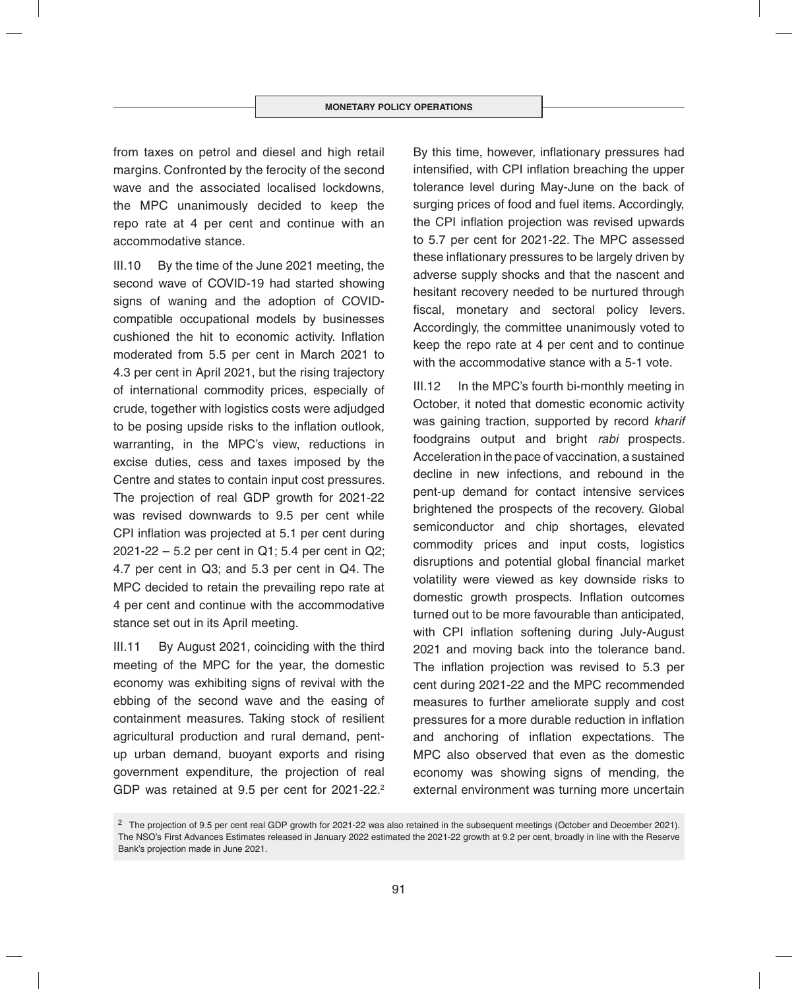from taxes on petrol and diesel and high retail margins. Confronted by the ferocity of the second wave and the associated localised lockdowns, the MPC unanimously decided to keep the repo rate at 4 per cent and continue with an accommodative stance.

III.10 By the time of the June 2021 meeting, the second wave of COVID-19 had started showing signs of waning and the adoption of COVIDcompatible occupational models by businesses cushioned the hit to economic activity. Inflation moderated from 5.5 per cent in March 2021 to 4.3 per cent in April 2021, but the rising trajectory of international commodity prices, especially of crude, together with logistics costs were adjudged to be posing upside risks to the inflation outlook, warranting, in the MPC's view, reductions in excise duties, cess and taxes imposed by the Centre and states to contain input cost pressures. The projection of real GDP growth for 2021-22 was revised downwards to 9.5 per cent while CPI inflation was projected at 5.1 per cent during 2021-22 – 5.2 per cent in Q1; 5.4 per cent in Q2; 4.7 per cent in Q3; and 5.3 per cent in Q4. The MPC decided to retain the prevailing repo rate at 4 per cent and continue with the accommodative stance set out in its April meeting.

III.11 By August 2021, coinciding with the third meeting of the MPC for the year, the domestic economy was exhibiting signs of revival with the ebbing of the second wave and the easing of containment measures. Taking stock of resilient agricultural production and rural demand, pentup urban demand, buoyant exports and rising government expenditure, the projection of real GDP was retained at 9.5 per cent for 2021-22.<sup>2</sup>

By this time, however, inflationary pressures had intensified, with CPI inflation breaching the upper tolerance level during May-June on the back of surging prices of food and fuel items. Accordingly, the CPI inflation projection was revised upwards to 5.7 per cent for 2021-22. The MPC assessed these inflationary pressures to be largely driven by adverse supply shocks and that the nascent and hesitant recovery needed to be nurtured through fiscal, monetary and sectoral policy levers. Accordingly, the committee unanimously voted to keep the repo rate at 4 per cent and to continue with the accommodative stance with a 5-1 vote.

III.12 In the MPC's fourth bi-monthly meeting in October, it noted that domestic economic activity was gaining traction, supported by record *kharif* foodgrains output and bright *rabi* prospects. Acceleration in the pace of vaccination, a sustained decline in new infections, and rebound in the pent-up demand for contact intensive services brightened the prospects of the recovery. Global semiconductor and chip shortages, elevated commodity prices and input costs, logistics disruptions and potential global financial market volatility were viewed as key downside risks to domestic growth prospects. Inflation outcomes turned out to be more favourable than anticipated, with CPI inflation softening during July-August 2021 and moving back into the tolerance band. The inflation projection was revised to 5.3 per cent during 2021-22 and the MPC recommended measures to further ameliorate supply and cost pressures for a more durable reduction in inflation and anchoring of inflation expectations. The MPC also observed that even as the domestic economy was showing signs of mending, the external environment was turning more uncertain

<sup>&</sup>lt;sup>2</sup> The projection of 9.5 per cent real GDP growth for 2021-22 was also retained in the subsequent meetings (October and December 2021). The NSO's First Advances Estimates released in January 2022 estimated the 2021-22 growth at 9.2 per cent, broadly in line with the Reserve Bank's projection made in June 2021.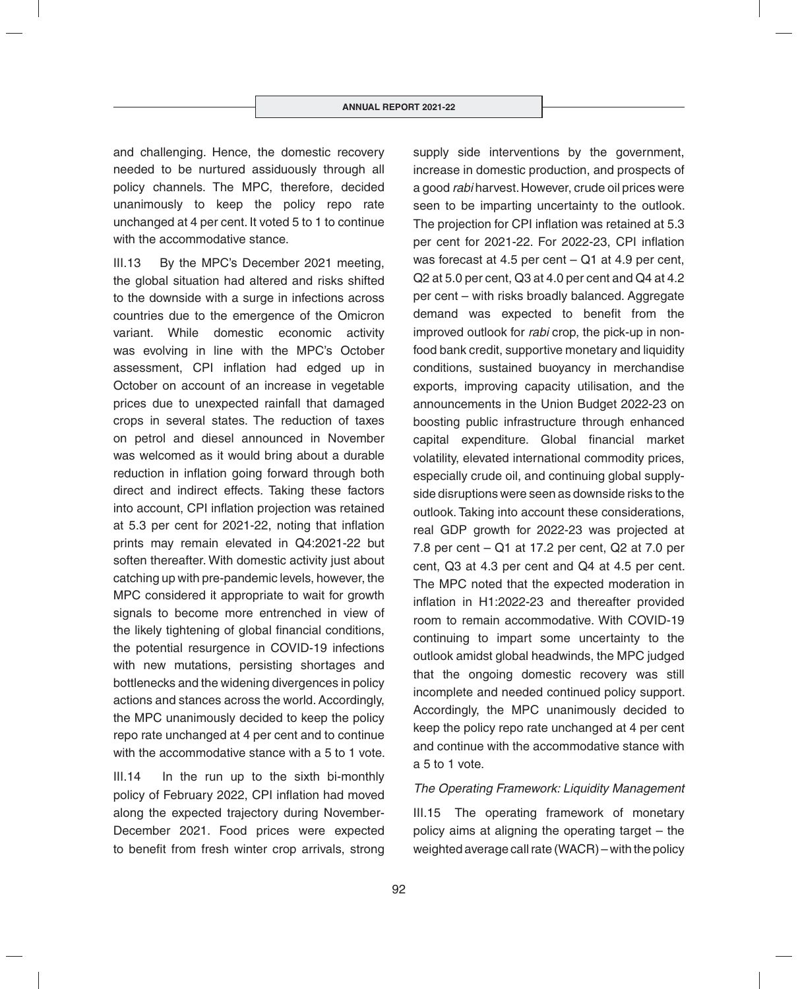and challenging. Hence, the domestic recovery needed to be nurtured assiduously through all policy channels. The MPC, therefore, decided unanimously to keep the policy repo rate unchanged at 4 per cent. It voted 5 to 1 to continue with the accommodative stance.

III.13 By the MPC's December 2021 meeting, the global situation had altered and risks shifted to the downside with a surge in infections across countries due to the emergence of the Omicron variant. While domestic economic activity was evolving in line with the MPC's October assessment, CPI inflation had edged up in October on account of an increase in vegetable prices due to unexpected rainfall that damaged crops in several states. The reduction of taxes on petrol and diesel announced in November was welcomed as it would bring about a durable reduction in inflation going forward through both direct and indirect effects. Taking these factors into account, CPI inflation projection was retained at 5.3 per cent for 2021-22, noting that inflation prints may remain elevated in Q4:2021-22 but soften thereafter. With domestic activity just about catching up with pre-pandemic levels, however, the MPC considered it appropriate to wait for growth signals to become more entrenched in view of the likely tightening of global financial conditions, the potential resurgence in COVID-19 infections with new mutations, persisting shortages and bottlenecks and the widening divergences in policy actions and stances across the world. Accordingly, the MPC unanimously decided to keep the policy repo rate unchanged at 4 per cent and to continue with the accommodative stance with a 5 to 1 vote.

III.14 In the run up to the sixth bi-monthly policy of February 2022, CPI inflation had moved along the expected trajectory during November-December 2021. Food prices were expected to benefit from fresh winter crop arrivals, strong

supply side interventions by the government, increase in domestic production, and prospects of a good *rabi* harvest. However, crude oil prices were seen to be imparting uncertainty to the outlook. The projection for CPI inflation was retained at 5.3 per cent for 2021-22. For 2022-23, CPI inflation was forecast at 4.5 per cent – Q1 at 4.9 per cent, Q2 at 5.0 per cent, Q3 at 4.0 per cent and Q4 at 4.2 per cent – with risks broadly balanced. Aggregate demand was expected to benefit from the improved outlook for *rabi* crop, the pick-up in nonfood bank credit, supportive monetary and liquidity conditions, sustained buoyancy in merchandise exports, improving capacity utilisation, and the announcements in the Union Budget 2022-23 on boosting public infrastructure through enhanced capital expenditure. Global financial market volatility, elevated international commodity prices, especially crude oil, and continuing global supplyside disruptions were seen as downside risks to the outlook. Taking into account these considerations, real GDP growth for 2022-23 was projected at 7.8 per cent – Q1 at 17.2 per cent, Q2 at 7.0 per cent, Q3 at 4.3 per cent and Q4 at 4.5 per cent. The MPC noted that the expected moderation in inflation in H1:2022-23 and thereafter provided room to remain accommodative. With COVID-19 continuing to impart some uncertainty to the outlook amidst global headwinds, the MPC judged that the ongoing domestic recovery was still incomplete and needed continued policy support. Accordingly, the MPC unanimously decided to keep the policy repo rate unchanged at 4 per cent and continue with the accommodative stance with a 5 to 1 vote.

## *The Operating Framework: Liquidity Management*

III.15 The operating framework of monetary policy aims at aligning the operating target – the weighted average call rate (WACR) – with the policy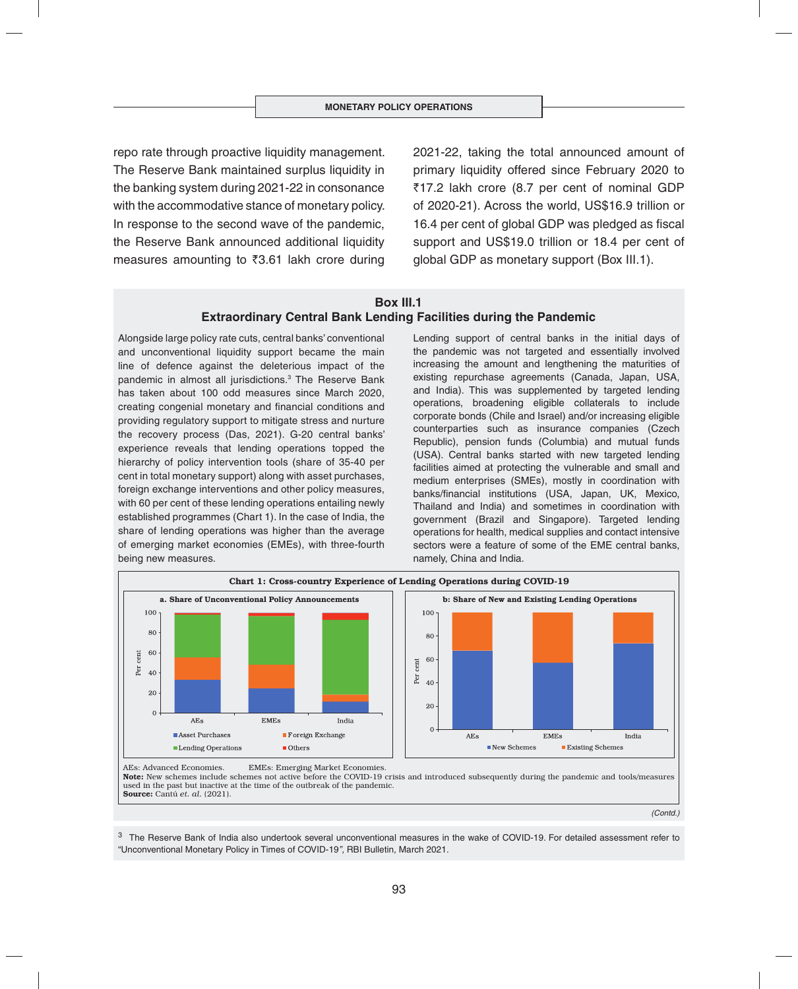repo rate through proactive liquidity management. The Reserve Bank maintained surplus liquidity in the banking system during 2021-22 in consonance with the accommodative stance of monetary policy. In response to the second wave of the pandemic, the Reserve Bank announced additional liquidity measures amounting to  $\overline{3}3.61$  lakh crore during

2021-22, taking the total announced amount of primary liquidity offered since February 2020 to `17.2 lakh crore (8.7 per cent of nominal GDP of 2020-21). Across the world, US\$16.9 trillion or 16.4 per cent of global GDP was pledged as fiscal support and US\$19.0 trillion or 18.4 per cent of global GDP as monetary support (Box III.1).

#### **Box III.1 Extraordinary Central Bank Lending Facilities during the Pandemic**

Alongside large policy rate cuts, central banks' conventional and unconventional liquidity support became the main line of defence against the deleterious impact of the pandemic in almost all jurisdictions.3 The Reserve Bank has taken about 100 odd measures since March 2020, creating congenial monetary and financial conditions and providing regulatory support to mitigate stress and nurture the recovery process (Das, 2021). G-20 central banks' experience reveals that lending operations topped the hierarchy of policy intervention tools (share of 35-40 per cent in total monetary support) along with asset purchases, foreign exchange interventions and other policy measures, with 60 per cent of these lending operations entailing newly established programmes (Chart 1). In the case of India, the share of lending operations was higher than the average of emerging market economies (EMEs), with three-fourth being new measures.

Lending support of central banks in the initial days of the pandemic was not targeted and essentially involved increasing the amount and lengthening the maturities of existing repurchase agreements (Canada, Japan, USA, and India). This was supplemented by targeted lending operations, broadening eligible collaterals to include corporate bonds (Chile and Israel) and/or increasing eligible counterparties such as insurance companies (Czech Republic), pension funds (Columbia) and mutual funds (USA). Central banks started with new targeted lending facilities aimed at protecting the vulnerable and small and medium enterprises (SMEs), mostly in coordination with banks/financial institutions (USA, Japan, UK, Mexico, Thailand and India) and sometimes in coordination with government (Brazil and Singapore). Targeted lending operations for health, medical supplies and contact intensive sectors were a feature of some of the EME central banks, namely, China and India.



used in the past but inactive at the time of the outbreak of the pandemic. Source: Cantú *et. al.* (2021).

*(Contd.)*

<sup>3</sup> The Reserve Bank of India also undertook several unconventional measures in the wake of COVID-19. For detailed assessment refer to "Unconventional Monetary Policy in Times of COVID-19*",* RBI Bulletin*,* March 2021*.*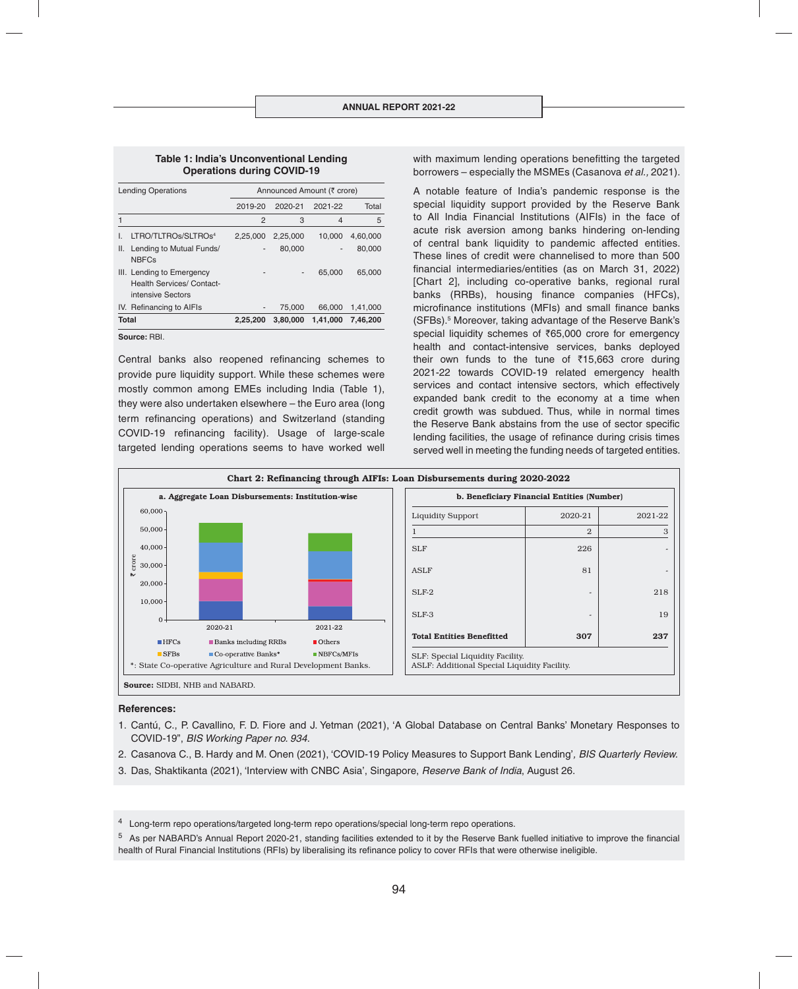#### **Table 1: India's Unconventional Lending Operations during COVID-19**

| <b>Lending Operations</b> |                                                                                    | Announced Amount (₹ crore) |          |          |          |  |  |  |
|---------------------------|------------------------------------------------------------------------------------|----------------------------|----------|----------|----------|--|--|--|
|                           |                                                                                    | 2019-20                    | 2020-21  | 2021-22  | Total    |  |  |  |
|                           |                                                                                    | 2                          | 3        | 4        | 5        |  |  |  |
|                           | LTRO/TLTROs/SLTROs <sup>4</sup>                                                    | 2.25.000                   | 2.25.000 | 10.000   | 4.60.000 |  |  |  |
| Ш.                        | Lending to Mutual Funds/<br><b>NBFCs</b>                                           |                            | 80,000   | -        | 80,000   |  |  |  |
|                           | III. Lending to Emergency<br><b>Health Services/ Contact-</b><br>intensive Sectors | -                          |          | 65,000   | 65,000   |  |  |  |
|                           | IV. Refinancing to AIFIs                                                           |                            | 75,000   | 66.000   | 1,41,000 |  |  |  |
| <b>Total</b>              |                                                                                    | 2.25.200                   | 3.80.000 | 1.41.000 | 7.46.200 |  |  |  |

**Source:** RBI.

Central banks also reopened refinancing schemes to provide pure liquidity support. While these schemes were mostly common among EMEs including India (Table 1), they were also undertaken elsewhere – the Euro area (long term refinancing operations) and Switzerland (standing COVID-19 refinancing facility). Usage of large-scale targeted lending operations seems to have worked well with maximum lending operations benefitting the targeted borrowers – especially the MSMEs (Casanova *et al.,* 2021).

A notable feature of India's pandemic response is the special liquidity support provided by the Reserve Bank to All India Financial Institutions (AIFIs) in the face of acute risk aversion among banks hindering on-lending of central bank liquidity to pandemic affected entities. These lines of credit were channelised to more than 500 financial intermediaries/entities (as on March 31, 2022) [Chart 2], including co-operative banks, regional rural banks (RRBs), housing finance companies (HFCs), microfinance institutions (MFIs) and small finance banks (SFBs).5 Moreover, taking advantage of the Reserve Bank's special liquidity schemes of ₹65,000 crore for emergency health and contact-intensive services, banks deployed their own funds to the tune of  $\bar{\tau}$ 15,663 crore during 2021-22 towards COVID-19 related emergency health services and contact intensive sectors, which effectively expanded bank credit to the economy at a time when credit growth was subdued. Thus, while in normal times the Reserve Bank abstains from the use of sector specific lending facilities, the usage of refinance during crisis times served well in meeting the funding needs of targeted entities.



#### **References:**

- 1. Cantú, C., P. Cavallino, F. D. Fiore and J. Yetman (2021), 'A Global Database on Central Banks' Monetary Responses to COVID-19", *BIS Working Paper no. 934.*
- 2. Casanova C., B. Hardy and M. Onen (2021), 'COVID-19 Policy Measures to Support Bank Lending'*, BIS Quarterly Review.*
- 3. Das, Shaktikanta (2021), 'Interview with CNBC Asia', Singapore, *Reserve Bank of India*, August 26.

<sup>4</sup> Long-term repo operations/targeted long-term repo operations/special long-term repo operations.

 $5$  As per NABARD's Annual Report 2020-21, standing facilities extended to it by the Reserve Bank fuelled initiative to improve the financial health of Rural Financial Institutions (RFIs) by liberalising its refinance policy to cover RFIs that were otherwise ineligible.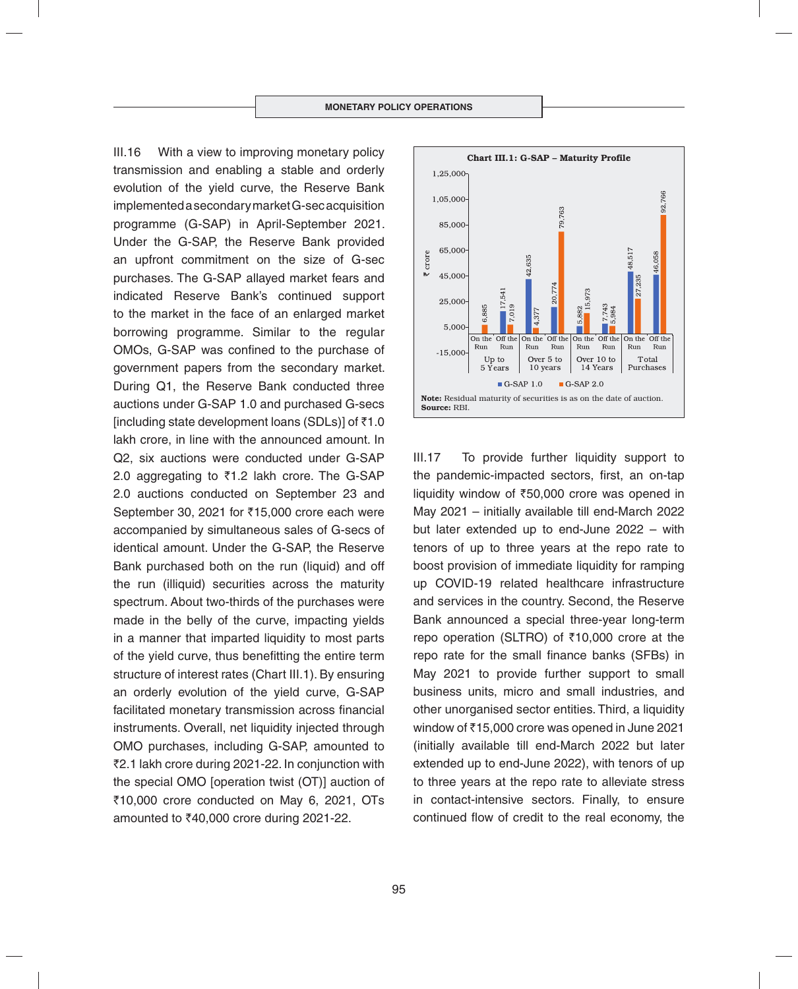III.16 With a view to improving monetary policy transmission and enabling a stable and orderly evolution of the yield curve, the Reserve Bank implemented a secondary market G-sec acquisition programme (G-SAP) in April-September 2021. Under the G-SAP, the Reserve Bank provided an upfront commitment on the size of G-sec purchases. The G-SAP allayed market fears and indicated Reserve Bank's continued support to the market in the face of an enlarged market borrowing programme. Similar to the regular OMOs, G-SAP was confined to the purchase of government papers from the secondary market. During Q1, the Reserve Bank conducted three auctions under G-SAP 1.0 and purchased G-secs [including state development loans (SDLs)] of  $\bar{z}1.0$ lakh crore, in line with the announced amount. In Q2, six auctions were conducted under G-SAP 2.0 aggregating to  $\overline{z}$ 1.2 lakh crore. The G-SAP 2.0 auctions conducted on September 23 and September 30, 2021 for  $\overline{3}15,000$  crore each were accompanied by simultaneous sales of G-secs of identical amount. Under the G-SAP, the Reserve Bank purchased both on the run (liquid) and off the run (illiquid) securities across the maturity spectrum. About two-thirds of the purchases were made in the belly of the curve, impacting yields in a manner that imparted liquidity to most parts of the yield curve, thus benefitting the entire term structure of interest rates (Chart III.1). By ensuring an orderly evolution of the yield curve, G-SAP facilitated monetary transmission across financial instruments. Overall, net liquidity injected through OMO purchases, including G-SAP, amounted to ₹2.1 lakh crore during 2021-22. In conjunction with the special OMO [operation twist (OT)] auction of  $\overline{5}10,000$  crore conducted on May 6, 2021, OTs amounted to  $\overline{6}40,000$  crore during 2021-22.



III.17 To provide further liquidity support to the pandemic-impacted sectors, first, an on-tap liquidity window of  $\overline{550,000}$  crore was opened in May 2021 – initially available till end-March 2022 but later extended up to end-June 2022 – with tenors of up to three years at the repo rate to boost provision of immediate liquidity for ramping up COVID-19 related healthcare infrastructure and services in the country. Second, the Reserve Bank announced a special three-year long-term repo operation (SLTRO) of  $\bar{\tau}$ 10,000 crore at the repo rate for the small finance banks (SFBs) in May 2021 to provide further support to small business units, micro and small industries, and other unorganised sector entities. Third, a liquidity window of ₹15,000 crore was opened in June 2021 (initially available till end-March 2022 but later extended up to end-June 2022), with tenors of up to three years at the repo rate to alleviate stress in contact-intensive sectors. Finally, to ensure continued flow of credit to the real economy, the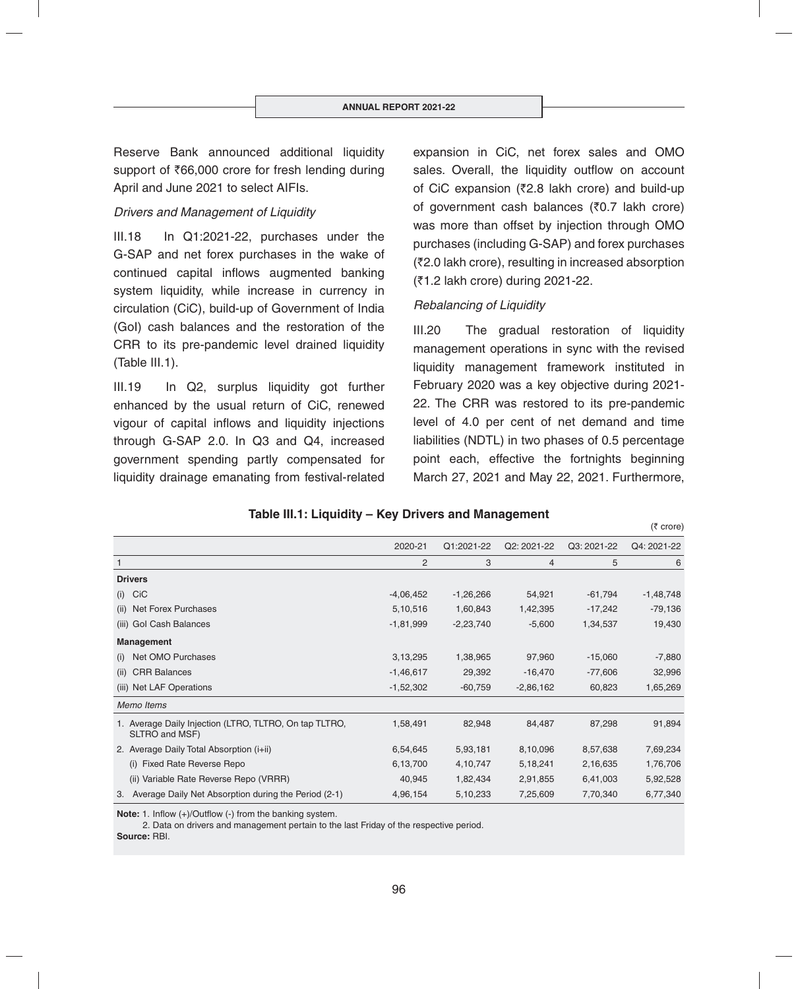Reserve Bank announced additional liquidity support of  $\bar{z}66,000$  crore for fresh lending during April and June 2021 to select AIFIs.

# *Drivers and Management of Liquidity*

III.18 In Q1:2021-22, purchases under the G-SAP and net forex purchases in the wake of continued capital inflows augmented banking system liquidity, while increase in currency in circulation (CiC), build-up of Government of India (GoI) cash balances and the restoration of the CRR to its pre-pandemic level drained liquidity (Table III.1).

III.19 In Q2, surplus liquidity got further enhanced by the usual return of CiC, renewed vigour of capital inflows and liquidity injections through G-SAP 2.0. In Q3 and Q4, increased government spending partly compensated for liquidity drainage emanating from festival-related expansion in CiC, net forex sales and OMO sales. Overall, the liquidity outflow on account of CiC expansion ( $\overline{z}$ 2.8 lakh crore) and build-up of government cash balances ( $\bar{z}0.7$  lakh crore) was more than offset by injection through OMO purchases (including G-SAP) and forex purchases (`2.0 lakh crore), resulting in increased absorption (`1.2 lakh crore) during 2021-22.

## *Rebalancing of Liquidity*

III.20 The gradual restoration of liquidity management operations in sync with the revised liquidity management framework instituted in February 2020 was a key objective during 2021- 22. The CRR was restored to its pre-pandemic level of 4.0 per cent of net demand and time liabilities (NDTL) in two phases of 0.5 percentage point each, effective the fortnights beginning March 27, 2021 and May 22, 2021. Furthermore,

 $(5$  crore)

## **Table III.1: Liquidity – Key Drivers and Management**

2020-21 Q1:2021-22 Q2: 2021-22 Q3: 2021-22 Q4: 2021-22 1 23456 **Drivers** (i) CiC -4,06,452 -1,26,266 54,921 -61,794 -1,48,748 (ii) Net Forex Purchases 5,10,516 1,60,843 1,42,395 -17,242 -79,136 (iii) Gol Cash Balances 19,430 -1,81,999 -2,23,740 -5,600 -1,34,537 19,430 **Management** (i) Net OMO Purchases 3,13,295 1,38,965 97,960 -15,060 -7,880 (ii) CRR Balances 32,996 -1,46,617 -29,392 -16,470 -77,606 -1,4996 (iii) Net LAF Operations 1,65,269 -1,52,302 -60,759 -2,86,162 60,823 1,65,269 *Memo Items* 1. Average Daily Injection (LTRO, TLTRO, On tap TLTRO, SLTRO and MSF) 1,58,491 82,948 84,487 87,298 91,894 2. Average Daily Total Absorption (i+ii) 6,54,645 5,93,181 8,10,096 8,57,638 7,69,234 (i) Fixed Rate Reverse Repo 6,13,700 4,10,747 5,18,241 2,16,635 1,76,706 (ii) Variable Rate Reverse Repo (VRRR)  $40,945$   $1,82,434$   $2,91,855$   $6,41,003$   $5,92,528$ 3. Average Daily Net Absorption during the Period (2-1) 4,96,154 5,10,233 7,25,609 7,70,340 6,77,340

**Note:** 1. Inflow (+)/Outflow (-) from the banking system.

2. Data on drivers and management pertain to the last Friday of the respective period.

**Source:** RBI.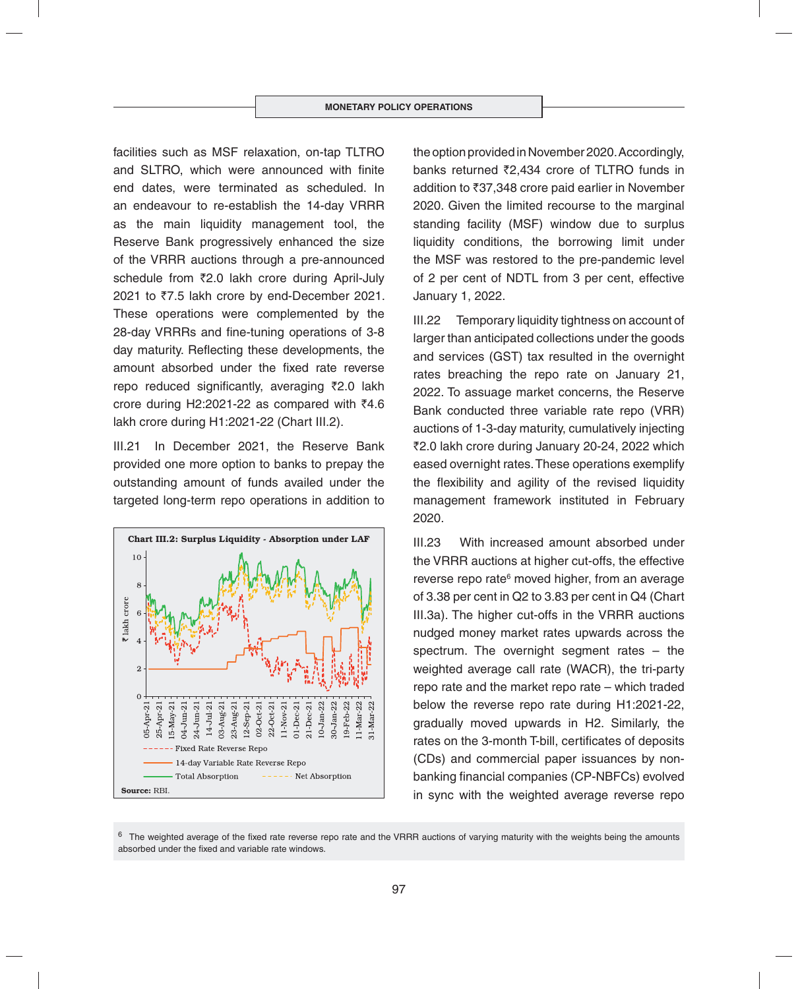facilities such as MSF relaxation, on-tap TLTRO and SLTRO, which were announced with finite end dates, were terminated as scheduled. In an endeavour to re-establish the 14-day VRRR as the main liquidity management tool, the Reserve Bank progressively enhanced the size of the VRRR auctions through a pre-announced schedule from ₹2.0 lakh crore during April-July 2021 to ₹7.5 lakh crore by end-December 2021. These operations were complemented by the 28-day VRRRs and fine-tuning operations of 3-8 day maturity. Reflecting these developments, the amount absorbed under the fixed rate reverse repo reduced significantly, averaging  $\bar{\zeta}$ 2.0 lakh crore during H2:2021-22 as compared with  $\bar{z}4.6$ lakh crore during H1:2021-22 (Chart III.2).

III.21 In December 2021, the Reserve Bank provided one more option to banks to prepay the outstanding amount of funds availed under the targeted long-term repo operations in addition to



the option provided in November 2020. Accordingly, banks returned ₹2.434 crore of TLTRO funds in addition to  $\overline{3}37,348$  crore paid earlier in November 2020. Given the limited recourse to the marginal standing facility (MSF) window due to surplus liquidity conditions, the borrowing limit under the MSF was restored to the pre-pandemic level of 2 per cent of NDTL from 3 per cent, effective January 1, 2022.

III.22 Temporary liquidity tightness on account of larger than anticipated collections under the goods and services (GST) tax resulted in the overnight rates breaching the repo rate on January 21, 2022. To assuage market concerns, the Reserve Bank conducted three variable rate repo (VRR) auctions of 1-3-day maturity, cumulatively injecting ₹2.0 lakh crore during January 20-24, 2022 which eased overnight rates. These operations exemplify the flexibility and agility of the revised liquidity management framework instituted in February 2020.

III.23 With increased amount absorbed under the VRRR auctions at higher cut-offs, the effective reverse repo rate<sup>6</sup> moved higher, from an average of 3.38 per cent in Q2 to 3.83 per cent in Q4 (Chart III.3a). The higher cut-offs in the VRRR auctions nudged money market rates upwards across the spectrum. The overnight segment rates – the weighted average call rate (WACR), the tri-party repo rate and the market repo rate – which traded below the reverse repo rate during H1:2021-22, gradually moved upwards in H2. Similarly, the rates on the 3-month T-bill, certificates of deposits (CDs) and commercial paper issuances by nonbanking financial companies (CP-NBFCs) evolved in sync with the weighted average reverse repo

 $6$  The weighted average of the fixed rate reverse repo rate and the VRRR auctions of varying maturity with the weights being the amounts absorbed under the fixed and variable rate windows.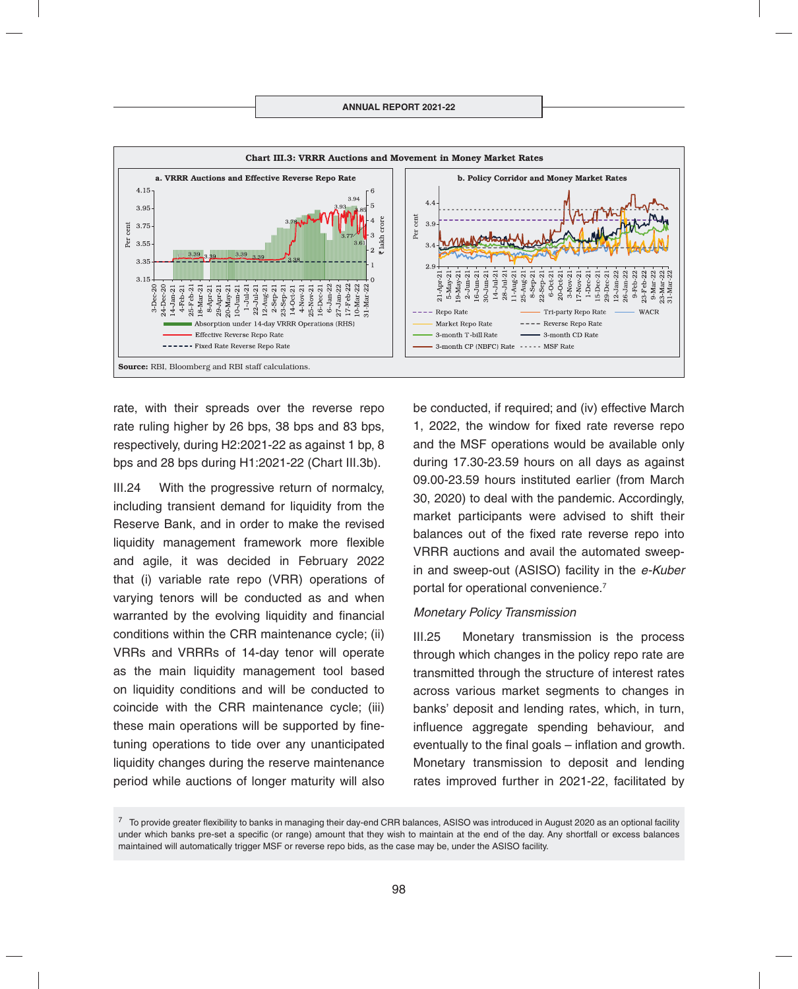

rate, with their spreads over the reverse repo rate ruling higher by 26 bps, 38 bps and 83 bps, respectively, during H2:2021-22 as against 1 bp, 8 bps and 28 bps during H1:2021-22 (Chart III.3b).

III.24 With the progressive return of normalcy, including transient demand for liquidity from the Reserve Bank, and in order to make the revised liquidity management framework more flexible and agile, it was decided in February 2022 that (i) variable rate repo (VRR) operations of varying tenors will be conducted as and when warranted by the evolving liquidity and financial conditions within the CRR maintenance cycle; (ii) VRRs and VRRRs of 14-day tenor will operate as the main liquidity management tool based on liquidity conditions and will be conducted to coincide with the CRR maintenance cycle; (iii) these main operations will be supported by finetuning operations to tide over any unanticipated liquidity changes during the reserve maintenance period while auctions of longer maturity will also

be conducted, if required; and (iv) effective March 1, 2022, the window for fixed rate reverse repo and the MSF operations would be available only during 17.30-23.59 hours on all days as against 09.00-23.59 hours instituted earlier (from March 30, 2020) to deal with the pandemic. Accordingly, market participants were advised to shift their balances out of the fixed rate reverse repo into VRRR auctions and avail the automated sweepin and sweep-out (ASISO) facility in the *e-Kuber* portal for operational convenience.7

#### *Monetary Policy Transmission*

III.25 Monetary transmission is the process through which changes in the policy repo rate are transmitted through the structure of interest rates across various market segments to changes in banks' deposit and lending rates, which, in turn, influence aggregate spending behaviour, and eventually to the final goals  $-$  inflation and growth. Monetary transmission to deposit and lending rates improved further in 2021-22, facilitated by

 $7\,$  To provide greater flexibility to banks in managing their day-end CRR balances, ASISO was introduced in August 2020 as an optional facility under which banks pre-set a specific (or range) amount that they wish to maintain at the end of the day. Any shortfall or excess balances maintained will automatically trigger MSF or reverse repo bids, as the case may be, under the ASISO facility.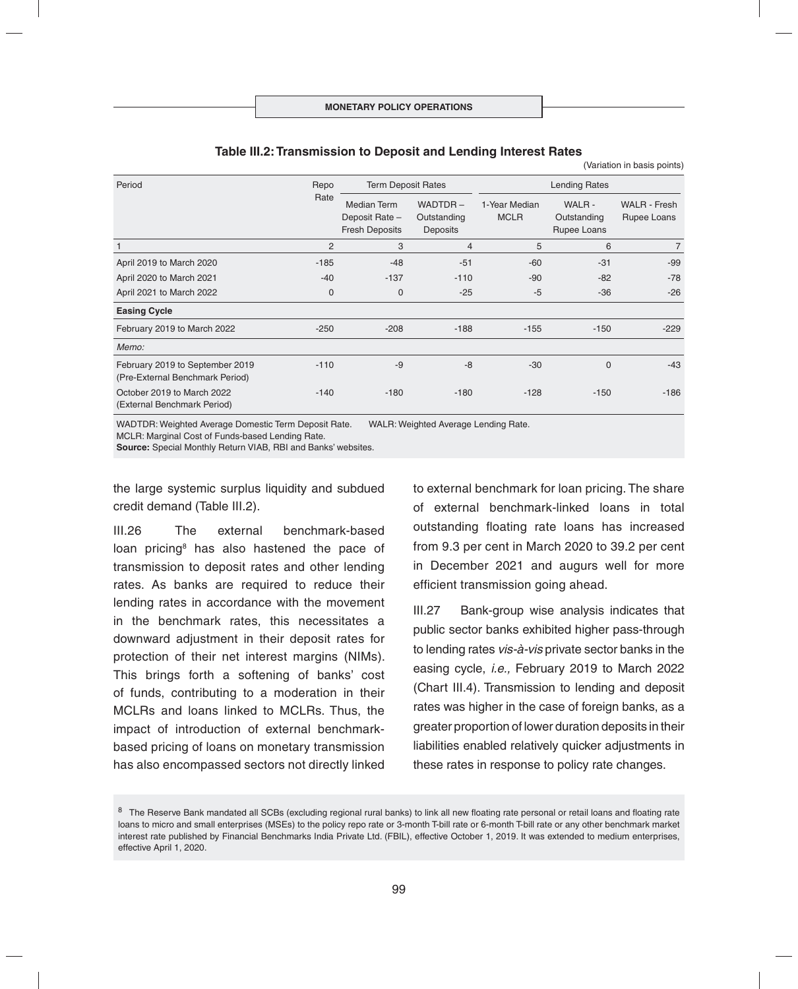#### **Table III.2: Transmission to Deposit and Lending Interest Rates**

(Variation in basis points)

| Period                                                             | Repo<br>Rate   | <b>Term Deposit Rates</b>                                     |                                    | <b>Lending Rates</b>         |                                     |                                    |  |
|--------------------------------------------------------------------|----------------|---------------------------------------------------------------|------------------------------------|------------------------------|-------------------------------------|------------------------------------|--|
|                                                                    |                | <b>Median Term</b><br>Deposit Rate -<br><b>Fresh Deposits</b> | WADTDR-<br>Outstanding<br>Deposits | 1-Year Median<br><b>MCLR</b> | WALR-<br>Outstanding<br>Rupee Loans | <b>WALR - Fresh</b><br>Rupee Loans |  |
|                                                                    | $\overline{2}$ | 3                                                             | 4                                  | 5                            | 6                                   | 7                                  |  |
| April 2019 to March 2020                                           | $-185$         | $-48$                                                         | $-51$                              | -60                          | $-31$                               | $-99$                              |  |
| April 2020 to March 2021                                           | $-40$          | $-137$                                                        | $-110$                             | $-90$                        | $-82$                               | $-78$                              |  |
| April 2021 to March 2022                                           | $\mathbf 0$    | $\mathbf 0$                                                   | $-25$                              | $-5$                         | $-36$                               | $-26$                              |  |
| <b>Easing Cycle</b>                                                |                |                                                               |                                    |                              |                                     |                                    |  |
| February 2019 to March 2022                                        | $-250$         | $-208$                                                        | $-188$                             | $-155$                       | $-150$                              | $-229$                             |  |
| Memo:                                                              |                |                                                               |                                    |                              |                                     |                                    |  |
| February 2019 to September 2019<br>(Pre-External Benchmark Period) | $-110$         | $-9$                                                          | $-8$                               | $-30$                        | $\mathbf{0}$                        | $-43$                              |  |
| October 2019 to March 2022<br>(External Benchmark Period)          | $-140$         | $-180$                                                        | $-180$                             | $-128$                       | $-150$                              | $-186$                             |  |

WADTDR: Weighted Average Domestic Term Deposit Rate. WALR: Weighted Average Lending Rate.

MCLR: Marginal Cost of Funds-based Lending Rate.

**Source:** Special Monthly Return VIAB, RBI and Banks' websites.

the large systemic surplus liquidity and subdued credit demand (Table III.2).

III.26 The external benchmark-based loan pricing<sup>8</sup> has also hastened the pace of transmission to deposit rates and other lending rates. As banks are required to reduce their lending rates in accordance with the movement in the benchmark rates, this necessitates a downward adjustment in their deposit rates for protection of their net interest margins (NIMs). This brings forth a softening of banks' cost of funds, contributing to a moderation in their MCLRs and loans linked to MCLRs. Thus, the impact of introduction of external benchmarkbased pricing of loans on monetary transmission has also encompassed sectors not directly linked

to external benchmark for loan pricing. The share of external benchmark-linked loans in total outstanding floating rate loans has increased from 9.3 per cent in March 2020 to 39.2 per cent in December 2021 and augurs well for more efficient transmission going ahead.

III.27 Bank-group wise analysis indicates that public sector banks exhibited higher pass-through to lending rates *vis-à-vis* private sector banks in the easing cycle, *i.e.,* February 2019 to March 2022 (Chart III.4). Transmission to lending and deposit rates was higher in the case of foreign banks, as a greater proportion of lower duration deposits in their liabilities enabled relatively quicker adjustments in these rates in response to policy rate changes.

<sup>&</sup>lt;sup>8</sup> The Reserve Bank mandated all SCBs (excluding regional rural banks) to link all new floating rate personal or retail loans and floating rate loans to micro and small enterprises (MSEs) to the policy repo rate or 3-month T-bill rate or 6-month T-bill rate or any other benchmark market interest rate published by Financial Benchmarks India Private Ltd. (FBIL), effective October 1, 2019. It was extended to medium enterprises, effective April 1, 2020.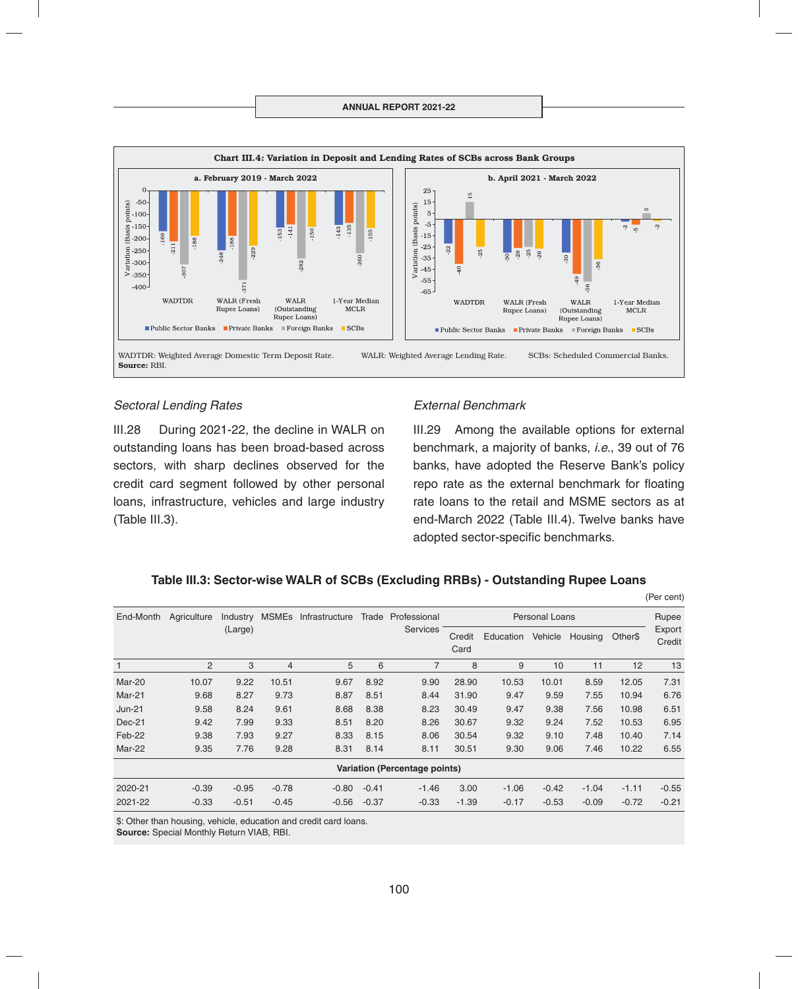

#### *Sectoral Lending Rates*

III.28 During 2021-22, the decline in WALR on outstanding loans has been broad-based across sectors, with sharp declines observed for the credit card segment followed by other personal loans, infrastructure, vehicles and large industry (Table III.3).

#### *External Benchmark*

III.29 Among the available options for external benchmark, a majority of banks, *i.e.*, 39 out of 76 banks, have adopted the Reserve Bank's policy repo rate as the external benchmark for floating rate loans to the retail and MSME sectors as at end-March 2022 (Table III.4). Twelve banks have adopted sector-specific benchmarks.

(Per cent)

## **Table III.3: Sector-wise WALR of SCBs (Excluding RRBs) - Outstanding Rupee Loans**

| End-Month                            | Agriculture    | Industry | <b>MSMEs</b> | Infrastructure | Trade   | Professional<br><b>Services</b> | <b>Personal Loans</b> |           |         |         | Rupee   |                  |
|--------------------------------------|----------------|----------|--------------|----------------|---------|---------------------------------|-----------------------|-----------|---------|---------|---------|------------------|
|                                      |                | (Large)  |              |                |         |                                 | Credit<br>Card        | Education | Vehicle | Housing | Other\$ | Export<br>Credit |
|                                      | $\overline{2}$ | 3        | 4            | 5              | 6       | 7                               | 8                     | 9         | 10      | 11      | 12      | 13               |
| Mar-20                               | 10.07          | 9.22     | 10.51        | 9.67           | 8.92    | 9.90                            | 28.90                 | 10.53     | 10.01   | 8.59    | 12.05   | 7.31             |
| Mar-21                               | 9.68           | 8.27     | 9.73         | 8.87           | 8.51    | 8.44                            | 31.90                 | 9.47      | 9.59    | 7.55    | 10.94   | 6.76             |
| $Jun-21$                             | 9.58           | 8.24     | 9.61         | 8.68           | 8.38    | 8.23                            | 30.49                 | 9.47      | 9.38    | 7.56    | 10.98   | 6.51             |
| $Dec-21$                             | 9.42           | 7.99     | 9.33         | 8.51           | 8.20    | 8.26                            | 30.67                 | 9.32      | 9.24    | 7.52    | 10.53   | 6.95             |
| Feb-22                               | 9.38           | 7.93     | 9.27         | 8.33           | 8.15    | 8.06                            | 30.54                 | 9.32      | 9.10    | 7.48    | 10.40   | 7.14             |
| Mar-22                               | 9.35           | 7.76     | 9.28         | 8.31           | 8.14    | 8.11                            | 30.51                 | 9.30      | 9.06    | 7.46    | 10.22   | 6.55             |
| <b>Variation (Percentage points)</b> |                |          |              |                |         |                                 |                       |           |         |         |         |                  |
| 2020-21                              | $-0.39$        | $-0.95$  | $-0.78$      | $-0.80$        | $-0.41$ | $-1.46$                         | 3.00                  | $-1.06$   | $-0.42$ | $-1.04$ | $-1.11$ | $-0.55$          |
| 2021-22                              | $-0.33$        | $-0.51$  | $-0.45$      | $-0.56$        | $-0.37$ | $-0.33$                         | $-1.39$               | $-0.17$   | $-0.53$ | $-0.09$ | $-0.72$ | $-0.21$          |
|                                      |                |          |              |                |         |                                 |                       |           |         |         |         |                  |

\$: Other than housing, vehicle, education and credit card loans.

**Source:** Special Monthly Return VIAB, RBI.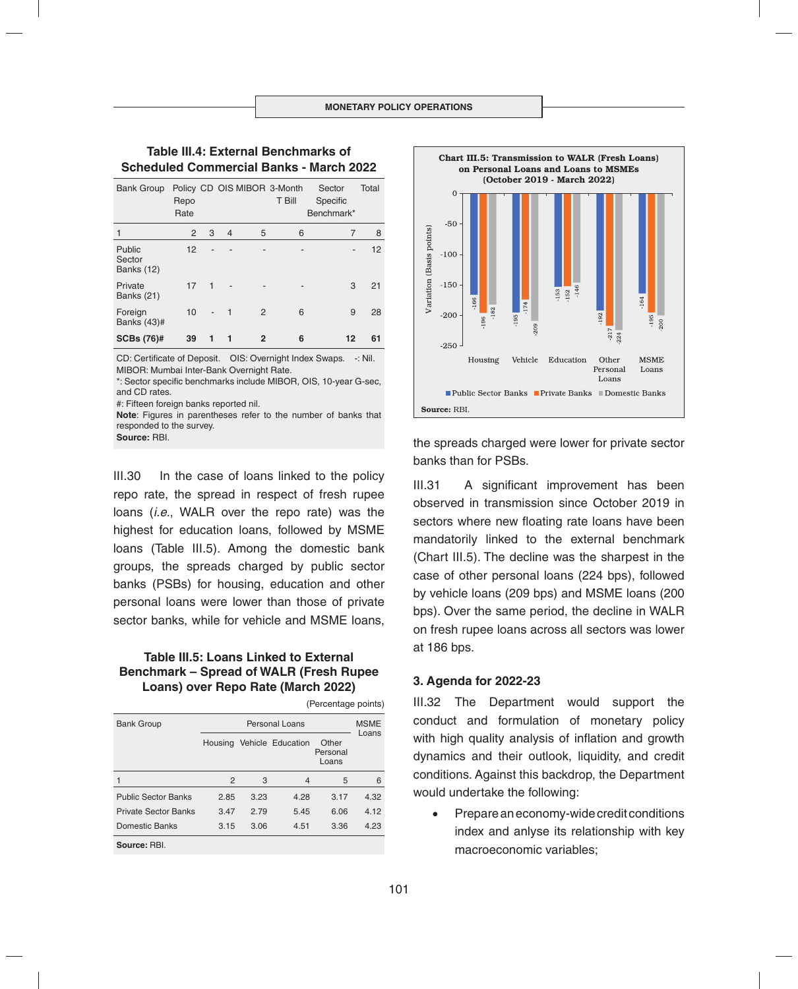# **Table III.4: External Benchmarks of Scheduled Commercial Banks - March 2022**

| <b>Bank Group</b>                     | Repo<br>Rate |   |                |              | Policy CD OIS MIBOR 3-Month<br>T Bill | Sector<br>Specific<br>Benchmark* | Total |
|---------------------------------------|--------------|---|----------------|--------------|---------------------------------------|----------------------------------|-------|
|                                       | 2            | 3 | $\overline{4}$ | 5            | 6                                     | 7                                | 8     |
| Public<br>Sector<br><b>Banks (12)</b> | 12           |   |                |              |                                       | ٠                                | 12    |
| Private<br><b>Banks (21)</b>          | 17           | 1 |                |              |                                       | 3                                | 21    |
| Foreign<br>Banks (43)#                | 10           |   | 1              | 2            | 6                                     | 9                                | 28    |
| <b>SCBs (76)#</b>                     | 39           |   | 1              | $\mathbf{2}$ | 6                                     | 12                               | 61    |

CD: Certificate of Deposit. OIS: Overnight Index Swaps. -: Nil. MIBOR: Mumbai Inter-Bank Overnight Rate.

\*: Sector specific benchmarks include MIBOR, OIS, 10-year G-sec, and CD rates.

#: Fifteen foreign banks reported nil.

**Note**: Figures in parentheses refer to the number of banks that responded to the survey.

**Source:** RBI.

III.30 In the case of loans linked to the policy repo rate, the spread in respect of fresh rupee loans (*i.e.*, WALR over the repo rate) was the highest for education loans, followed by MSME loans (Table III.5). Among the domestic bank groups, the spreads charged by public sector banks (PSBs) for housing, education and other personal loans were lower than those of private sector banks, while for vehicle and MSME loans,

# **Table III.5: Loans Linked to External Benchmark – Spread of WALR (Fresh Rupee Loans) over Repo Rate (March 2022)**

| (Percentage points)         |         |                      |                   |                            |      |  |  |  |  |  |
|-----------------------------|---------|----------------------|-------------------|----------------------------|------|--|--|--|--|--|
| <b>Bank Group</b>           |         | <b>MSME</b><br>Loans |                   |                            |      |  |  |  |  |  |
|                             | Housing |                      | Vehicle Education | Other<br>Personal<br>Loans |      |  |  |  |  |  |
|                             | 2       | 3                    | 4                 | 5                          | 6    |  |  |  |  |  |
| <b>Public Sector Banks</b>  | 2.85    | 3.23                 | 4.28              | 3.17                       | 4.32 |  |  |  |  |  |
| <b>Private Sector Banks</b> | 3.47    | 2.79                 | 5.45              | 6.06                       | 4.12 |  |  |  |  |  |
| Domestic Banks              | 3.15    | 3.06                 | 4.51              | 3.36                       | 4.23 |  |  |  |  |  |
| Source: RBI.                |         |                      |                   |                            |      |  |  |  |  |  |



the spreads charged were lower for private sector banks than for PSBs.

III.31 A significant improvement has been observed in transmission since October 2019 in sectors where new floating rate loans have been mandatorily linked to the external benchmark (Chart III.5). The decline was the sharpest in the case of other personal loans (224 bps), followed by vehicle loans (209 bps) and MSME loans (200 bps). Over the same period, the decline in WALR on fresh rupee loans across all sectors was lower at 186 bps.

## **3. Agenda for 2022-23**

III.32 The Department would support the conduct and formulation of monetary policy with high quality analysis of inflation and growth dynamics and their outlook, liquidity, and credit conditions. Against this backdrop, the Department would undertake the following:

 Prepare an economy-wide credit conditions index and anlyse its relationship with key macroeconomic variables;